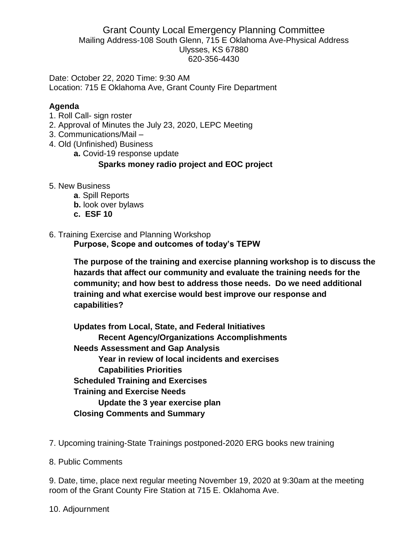#### Grant County Local Emergency Planning Committee Mailing Address-108 South Glenn, 715 E Oklahoma Ave-Physical Address Ulysses, KS 67880 620-356-4430

Date: October 22, 2020 Time: 9:30 AM Location: 715 E Oklahoma Ave, Grant County Fire Department

## **Agenda**

- 1. Roll Call- sign roster
- 2. Approval of Minutes the July 23, 2020, LEPC Meeting
- 3. Communications/Mail –
- 4. Old (Unfinished) Business
	- **a.** Covid-19 response update

### **Sparks money radio project and EOC project**

- 5. New Business
	- **a**. Spill Reports
	- **b.** look over bylaws
	- **c. ESF 10**

# 6. Training Exercise and Planning Workshop

**Purpose, Scope and outcomes of today's TEPW**

**The purpose of the training and exercise planning workshop is to discuss the hazards that affect our community and evaluate the training needs for the community; and how best to address those needs. Do we need additional training and what exercise would best improve our response and capabilities?**

**Updates from Local, State, and Federal Initiatives Recent Agency/Organizations Accomplishments Needs Assessment and Gap Analysis Year in review of local incidents and exercises Capabilities Priorities Scheduled Training and Exercises Training and Exercise Needs Update the 3 year exercise plan Closing Comments and Summary**

- 7. Upcoming training-State Trainings postponed-2020 ERG books new training
- 8. Public Comments

9. Date, time, place next regular meeting November 19, 2020 at 9:30am at the meeting room of the Grant County Fire Station at 715 E. Oklahoma Ave.

10. Adjournment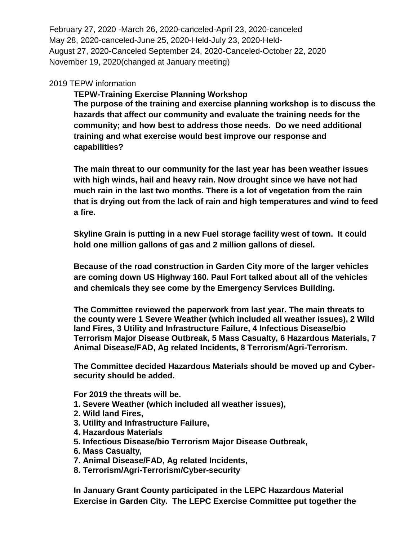February 27, 2020 -March 26, 2020-canceled-April 23, 2020-canceled May 28, 2020-canceled-June 25, 2020-Held-July 23, 2020-Held-August 27, 2020-Canceled September 24, 2020-Canceled-October 22, 2020 November 19, 2020(changed at January meeting)

#### 2019 TEPW information

**TEPW-Training Exercise Planning Workshop The purpose of the training and exercise planning workshop is to discuss the hazards that affect our community and evaluate the training needs for the community; and how best to address those needs. Do we need additional training and what exercise would best improve our response and capabilities?**

**The main threat to our community for the last year has been weather issues with high winds, hail and heavy rain. Now drought since we have not had much rain in the last two months. There is a lot of vegetation from the rain that is drying out from the lack of rain and high temperatures and wind to feed a fire.**

**Skyline Grain is putting in a new Fuel storage facility west of town. It could hold one million gallons of gas and 2 million gallons of diesel.**

**Because of the road construction in Garden City more of the larger vehicles are coming down US Highway 160. Paul Fort talked about all of the vehicles and chemicals they see come by the Emergency Services Building.**

**The Committee reviewed the paperwork from last year. The main threats to the county were 1 Severe Weather (which included all weather issues), 2 Wild land Fires, 3 Utility and Infrastructure Failure, 4 Infectious Disease/bio Terrorism Major Disease Outbreak, 5 Mass Casualty, 6 Hazardous Materials, 7 Animal Disease/FAD, Ag related Incidents, 8 Terrorism/Agri-Terrorism.** 

**The Committee decided Hazardous Materials should be moved up and Cybersecurity should be added.**

**For 2019 the threats will be.**

- **1. Severe Weather (which included all weather issues),**
- **2. Wild land Fires,**
- **3. Utility and Infrastructure Failure,**
- **4. Hazardous Materials**
- **5. Infectious Disease/bio Terrorism Major Disease Outbreak,**
- **6. Mass Casualty,**
- **7. Animal Disease/FAD, Ag related Incidents,**
- **8. Terrorism/Agri-Terrorism/Cyber-security**

**In January Grant County participated in the LEPC Hazardous Material Exercise in Garden City. The LEPC Exercise Committee put together the**